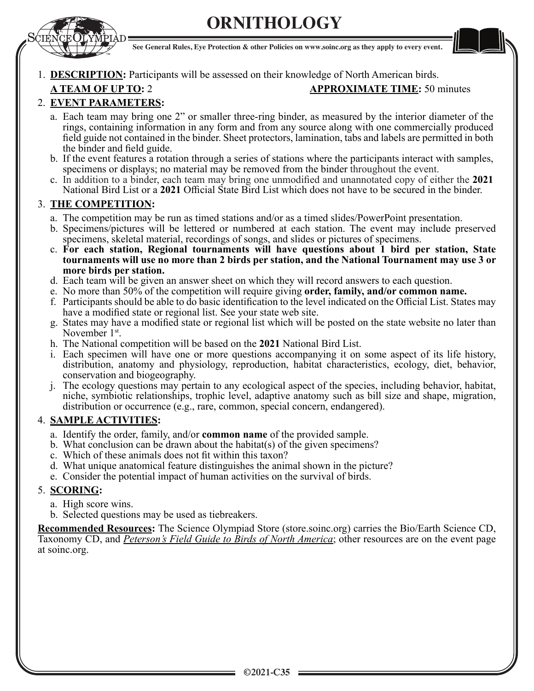





# 1. **DESCRIPTION:** Participants will be assessed on their knowledge of North American birds.

## **A TEAM OF UP TO:** 2 **APPROXIMATE TIME:** 50 minutes

# 2. **EVENT PARAMETERS:**

- a. Each team may bring one 2" or smaller three-ring binder, as measured by the interior diameter of the rings, containing information in any form and from any source along with one commercially produced field guide not contained in the binder. Sheet protectors, lamination, tabs and labels are permitted in both the binder and field guide.
- b. If the event features a rotation through a series of stations where the participants interact with samples, specimens or displays; no material may be removed from the binder throughout the event.
- c. In addition to a binder, each team may bring one unmodified and unannotated copy of either the 2021 National Bird List or a 2021 Official State Bird List which does not have to be secured in the binder.

# **THE COMPETITION:**

- a. The competition may be run as timed stations and/or as a timed slides/PowerPoint presentation.
- b. Specimens/pictures will be lettered or numbered at each station. The event may include preserved specimens, skeletal material, recordings of songs, and slides or pictures of specimens.
- c. **For each station, Regional tournaments will have questions about 1 bird per station, State tournaments will use no more than 2 birds per station, and the National Tournament may use 3 or more birds per station.**
- d. Each team will be given an answer sheet on which they will record answers to each question.
- e. No more than 50% of the competition will require giving **order, family, and/or common name.**
- f. Participants should be able to do basic identification to the level indicated on the Official List. States may have a modified state or regional list. See your state web site.
- g. States may have a modified state or regional list which will be posted on the state website no later than November 1<sup>st</sup>.
- h. The National competition will be based on the **2021** National Bird List.
- i. Each specimen will have one or more questions accompanying it on some aspect of its life history, distribution, anatomy and physiology, reproduction, habitat characteristics, ecology, diet, behavior, conservation and biogeography.
- j. The ecology questions may pertain to any ecological aspect of the species, including behavior, habitat, niche, symbiotic relationships, trophic level, adaptive anatomy such as bill size and shape, migration, distribution or occurrence (e.g., rare, common, special concern, endangered).

### 4. **SAMPLE ACTIVITIES:**

- a. Identify the order, family, and/or **common name** of the provided sample.
- b. What conclusion can be drawn about the habitat(s) of the given specimens?
- c. Which of these animals does not fit within this taxon?
- d. What unique anatomical feature distinguishes the animal shown in the picture?
- e. Consider the potential impact of human activities on the survival of birds.

# **SCORING:**

- a. High score wins.
- b. Selected questions may be used as tiebreakers.

**Recommended Resources:** The Science Olympiad Store (store.soinc.org) carries the Bio/Earth Science CD, Taxonomy CD, and *Peterson's Field Guide to Birds of North America*; other resources are on the event page at soinc.org.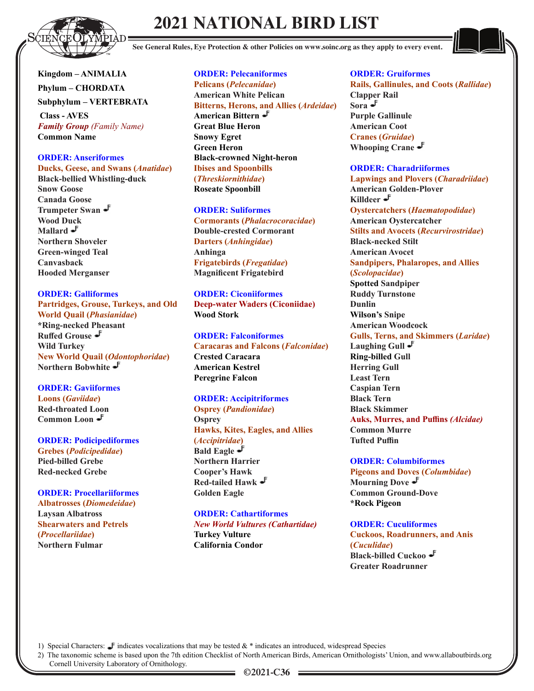

# **2021 NATIONAL BIRD LIST**

**See General Rules, Eye Protection & other Policies on www.soinc.org as they apply to every event.**

**Kingdom – ANIMALIA Phylum – CHORDATA Subphylum – VERTEBRATA**

 **Class - AVES** *Family Group (Family Name)* **Common Name**

### **ORDER: Anseriformes**

Ducks, Geese, and Swans (Anatidae) **Black-bellied Whistling-duck Snow Goose Canada Goose Trumpeter Swan Wood Duck** Mallard  $\mathbf{J}$ **Northern Shoveler Green-winged Teal Canvasback Hooded Merganser** 

**ORDER: Galliformes Partridges, Grouse, Turkeys, and Old World Quail (Phasianidae) \*Ring-necked Pheasant**  Ruffed Grouse  $\mathcal{F}$ **Wild Turkey 1Hz/>New World Quail (Odontophoridae) Northern Bobwhite** 

**ORDER: Gaviiformes** *<u>Caviidae*</u> **Red-throated Loon Common Loon** 

**ORDER: Podicipediformes**

 $G$ rebes (*Podicipedidae*) **Pied-billed Grebe Red-necked Grebe** 

**ORDER: Procellariiformes**  $A$ **Ibatrosses** (*Diomedeidae*) **Laysan Albatross Shearwaters and Petrels**  *Procellariidae***) Northern Fulmar**

**ORDER: Pelecaniformes**  $Pelicans (Pelecanidae)$ **American White Pelican**  Bitterns, Herons, and Allies (Ardeidae) **American Bittern Great Blue Heron Snowy Egret Green Heron Black-crowned Night-heron Ibises and Spoonbills**  *Threskiornithidae***) Roseate Spoonbill**

**ORDER: Suliformes** *(Phalacrocoracidae***) Double-crested Cormorant Darters** (*Anhingidae*) **Anhinga**   $Frigatebirds (Fregatidae)$ **Magnificent Frigatebird** 

**ORDER: Ciconiiformes Deep-water Waders (Ciconiidae) Wood Stork**

**ORDER: Falconiformes Caracaras and Falcons (Falconidae) Crested Caracara American Kestrel Peregrine Falcon** 

**ORDER: Accipitriformes 22***Osprey (Pandionidae)* **Osprey Hawks, Kites, Eagles, and Allies**  *Accipitridae***) Bald Eagle Northern Harrier Cooper's Hawk Red-tailed Hawk Golden Eagle** 

**ORDER: Cathartiformes** *New World Vultures (Cathartidae)* **Turkey Vulture** **California Condor**

#### **ORDER: Gruiformes**

**Rails, Gallinules, and Coots (Rallidae) Clapper Rail Sora Purple Gallinule American Coot**   $C$ ranes *(Gruidae)* **Whooping Crane**

#### **ORDER: Charadriiformes**

*Lapwings and Plovers (Charadriidae)* **American Golden-Plover Killdeer**  $O$ ystercatchers (*Haematopodidae*) **American Oystercatcher 68Hlts and Avocets (Recurvirostridae) Black-necked Stilt American Avocet Sandpipers, Phalaropes, and Allies**  *Scolopacidae***) Spotted Sandpiper Ruddy Turnstone Dunlin Wilson's Snipe American Woodcock Gulls, Terns, and Skimmers (Laridae) Laughing Gull Ring-billed Gull Herring Gull Least Tern Caspian Tern Black Tern Black Skimmer**  Auks, Murres, and Puffins (Alcidae) **Common Murre**  *Tufted Puffin* 

#### **ORDER: Columbiformes**

**Pigeons and Doves (Columbidae) Mourning Dove Common Ground-Dove \*Rock Pigeon**

**ORDER: Cuculiformes Cuckoos, Roadrunners, and Anis**  *Cuculidae***) Black-billed Cuckoo Greater Roadrunner** 

1) Special Characters:  $\blacksquare$  indicates vocalizations that may be tested  $\&$  \* indicates an introduced, widespread Species

2) The taxonomic scheme is based upon the 7th edition Checklist of North American Birds, American Ornithologists' Union, and www.allaboutbirds.org

Cornell University Laboratory of Ornithology.